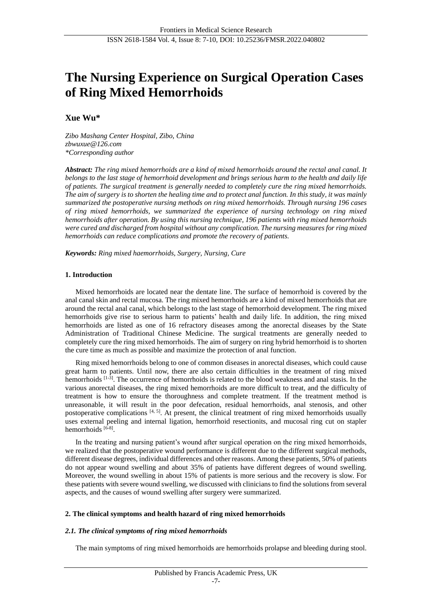# **The Nursing Experience on Surgical Operation Cases of Ring Mixed Hemorrhoids**

**Xue Wu\***

*Zibo Mashang Center Hospital, Zibo, China zbwuxue@126.com \*Corresponding author*

*Abstract: The ring mixed hemorrhoids are a kind of mixed hemorrhoids around the rectal anal canal. It belongs to the last stage of hemorrhoid development and brings serious harm to the health and daily life of patients. The surgical treatment is generally needed to completely cure the ring mixed hemorrhoids. The aim of surgery is to shorten the healing time and to protect anal function. In this study, it was mainly summarized the postoperative nursing methods on ring mixed hemorrhoids. Through nursing 196 cases of ring mixed hemorrhoids, we summarized the experience of nursing technology on ring mixed hemorrhoids after operation. By using this nursing technique, 196 patients with ring mixed hemorrhoids were cured and discharged from hospital without any complication. The nursing measures for ring mixed hemorrhoids can reduce complications and promote the recovery of patients.*

*Keywords: Ring mixed haemorrhoids, Surgery, Nursing, Cure*

#### **1. Introduction**

Mixed hemorrhoids are located near the dentate line. The surface of hemorrhoid is covered by the anal canal skin and rectal mucosa. The ring mixed hemorrhoids are a kind of mixed hemorrhoids that are around the rectal anal canal, which belongs to the last stage of hemorrhoid development. The ring mixed hemorrhoids give rise to serious harm to patients' health and daily life. In addition, the ring mixed hemorrhoids are listed as one of 16 refractory diseases among the anorectal diseases by the State Administration of Traditional Chinese Medicine. The surgical treatments are generally needed to completely cure the ring mixed hemorrhoids. The aim of surgery on ring hybrid hemorrhoid is to shorten the cure time as much as possible and maximize the protection of anal function.

Ring mixed hemorrhoids belong to one of common diseases in anorectal diseases, which could cause great harm to patients. Until now, there are also certain difficulties in the treatment of ring mixed hemorrhoids [1-3]. The occurrence of hemorrhoids is related to the blood weakness and anal stasis. In the various anorectal diseases, the ring mixed hemorrhoids are more difficult to treat, and the difficulty of treatment is how to ensure the thoroughness and complete treatment. If the treatment method is unreasonable, it will result in the poor defecation, residual hemorrhoids, anal stenosis, and other postoperative complications  $[4, 5]$ . At present, the clinical treatment of ring mixed hemorrhoids usually uses external peeling and internal ligation, hemorrhoid resectionits, and mucosal ring cut on stapler hemorrhoids [6-8].

In the treating and nursing patient's wound after surgical operation on the ring mixed hemorrhoids, we realized that the postoperative wound performance is different due to the different surgical methods, different disease degrees, individual differences and other reasons. Among these patients, 50% of patients do not appear wound swelling and about 35% of patients have different degrees of wound swelling. Moreover, the wound swelling in about 15% of patients is more serious and the recovery is slow. For these patients with severe wound swelling, we discussed with clinicians to find the solutions from several aspects, and the causes of wound swelling after surgery were summarized.

#### **2. The clinical symptoms and health hazard of ring mixed hemorrhoids**

#### *2.1. The clinical symptoms of ring mixed hemorrhoids*

The main symptoms of ring mixed hemorrhoids are hemorrhoids prolapse and bleeding during stool.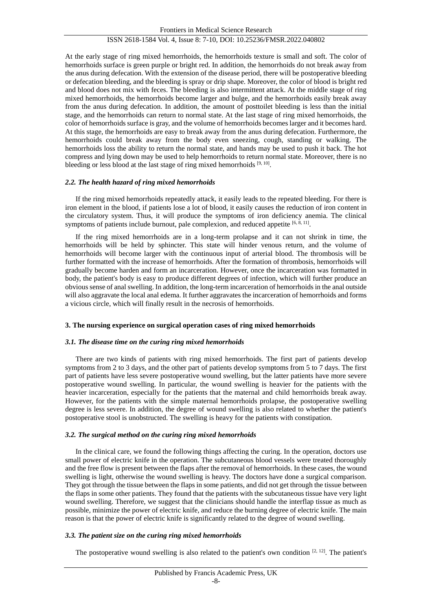## ISSN 2618-1584 Vol. 4, Issue 8: 7-10, DOI: 10.25236/FMSR.2022.040802

At the early stage of ring mixed hemorrhoids, the hemorrhoids texture is small and soft. The color of hemorrhoids surface is green purple or bright red. In addition, the hemorrhoids do not break away from the anus during defecation. With the extension of the disease period, there will be postoperative bleeding or defecation bleeding, and the bleeding is spray or drip shape. Moreover, the color of blood is bright red and blood does not mix with feces. The bleeding is also intermittent attack. At the middle stage of ring mixed hemorrhoids, the hemorrhoids become larger and bulge, and the hemorrhoids easily break away from the anus during defecation. In addition, the amount of posttoilet bleeding is less than the initial stage, and the hemorrhoids can return to normal state. At the last stage of ring mixed hemorrhoids, the color of hemorrhoids surface is gray, and the volume of hemorrhoids becomes larger and it becomes hard. At this stage, the hemorrhoids are easy to break away from the anus during defecation. Furthermore, the hemorrhoids could break away from the body even sneezing, cough, standing or walking. The hemorrhoids loss the ability to return the normal state, and hands may be used to push it back. The hot compress and lying down may be used to help hemorrhoids to return normal state. Moreover, there is no bleeding or less blood at the last stage of ring mixed hemorrhoids  $[9, 10]$ .

#### *2.2. The health hazard of ring mixed hemorrhoids*

If the ring mixed hemorrhoids repeatedly attack, it easily leads to the repeated bleeding. For there is iron element in the blood, if patients lose a lot of blood, it easily causes the reduction of iron content in the circulatory system. Thus, it will produce the symptoms of iron deficiency anemia. The clinical symptoms of patients include burnout, pale complexion, and reduced appetite  $[6, 8, 11]$ .

If the ring mixed hemorrhoids are in a long-term prolapse and it can not shrink in time, the hemorrhoids will be held by sphincter. This state will hinder venous return, and the volume of hemorrhoids will become larger with the continuous input of arterial blood. The thrombosis will be further formatted with the increase of hemorrhoids. After the formation of thrombosis, hemorrhoids will gradually become harden and form an incarceration. However, once the incarceration was formatted in body, the patient's body is easy to produce different degrees of infection, which will further produce an obvious sense of anal swelling. In addition, the long-term incarceration of hemorrhoids in the anal outside will also aggravate the local anal edema. It further aggravates the incarceration of hemorrhoids and forms a vicious circle, which will finally result in the necrosis of hemorrhoids.

#### **3. The nursing experience on surgical operation cases of ring mixed hemorrhoids**

#### *3.1. The disease time on the curing ring mixed hemorrhoids*

There are two kinds of patients with ring mixed hemorrhoids. The first part of patients develop symptoms from 2 to 3 days, and the other part of patients develop symptoms from 5 to 7 days. The first part of patients have less severe postoperative wound swelling, but the latter patients have more severe postoperative wound swelling. In particular, the wound swelling is heavier for the patients with the heavier incarceration, especially for the patients that the maternal and child hemorrhoids break away. However, for the patients with the simple maternal hemorrhoids prolapse, the postoperative swelling degree is less severe. In addition, the degree of wound swelling is also related to whether the patient's postoperative stool is unobstructed. The swelling is heavy for the patients with constipation.

#### *3.2. The surgical method on the curing ring mixed hemorrhoids*

In the clinical care, we found the following things affecting the curing. In the operation, doctors use small power of electric knife in the operation. The subcutaneous blood vessels were treated thoroughly and the free flow is present between the flaps after the removal of hemorrhoids. In these cases, the wound swelling is light, otherwise the wound swelling is heavy. The doctors have done a surgical comparison. They got through the tissue between the flaps in some patients, and did not get through the tissue between the flaps in some other patients. They found that the patients with the subcutaneous tissue have very light wound swelling. Therefore, we suggest that the clinicians should handle the interflap tissue as much as possible, minimize the power of electric knife, and reduce the burning degree of electric knife. The main reason is that the power of electric knife is significantly related to the degree of wound swelling.

#### *3.3. The patient size on the curing ring mixed hemorrhoids*

The postoperative wound swelling is also related to the patient's own condition [2, 12]. The patient's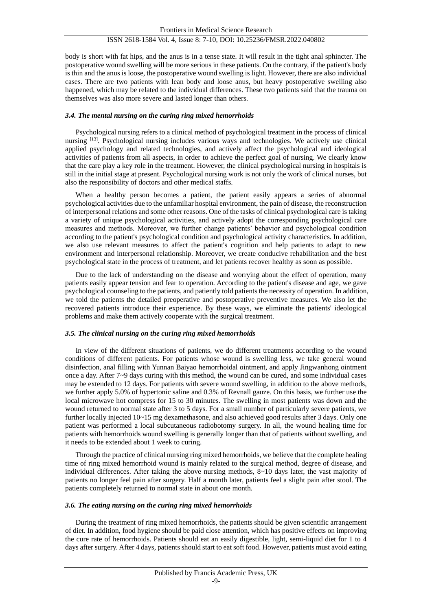# ISSN 2618-1584 Vol. 4, Issue 8: 7-10, DOI: 10.25236/FMSR.2022.040802

body is short with fat hips, and the anus is in a tense state. It will result in the tight anal sphincter. The postoperative wound swelling will be more serious in these patients. On the contrary, if the patient's body is thin and the anus is loose, the postoperative wound swelling is light. However, there are also individual cases. There are two patients with lean body and loose anus, but heavy postoperative swelling also happened, which may be related to the individual differences. These two patients said that the trauma on themselves was also more severe and lasted longer than others.

## *3.4. The mental nursing on the curing ring mixed hemorrhoids*

Psychological nursing refers to a clinical method of psychological treatment in the process of clinical nursing [13]. Psychological nursing includes various ways and technologies. We actively use clinical applied psychology and related technologies, and actively affect the psychological and ideological activities of patients from all aspects, in order to achieve the perfect goal of nursing. We clearly know that the care play a key role in the treatment. However, the clinical psychological nursing in hospitals is still in the initial stage at present. Psychological nursing work is not only the work of clinical nurses, but also the responsibility of doctors and other medical staffs.

When a healthy person becomes a patient, the patient easily appears a series of abnormal psychological activities due to the unfamiliar hospital environment, the pain of disease, the reconstruction of interpersonal relations and some other reasons. One of the tasks of clinical psychological care is taking a variety of unique psychological activities, and actively adopt the corresponding psychological care measures and methods. Moreover, we further change patients' behavior and psychological condition according to the patient's psychological condition and psychological activity characteristics. In addition, we also use relevant measures to affect the patient's cognition and help patients to adapt to new environment and interpersonal relationship. Moreover, we create conducive rehabilitation and the best psychological state in the process of treatment, and let patients recover healthy as soon as possible.

Due to the lack of understanding on the disease and worrying about the effect of operation, many patients easily appear tension and fear to operation. According to the patient's disease and age, we gave psychological counseling to the patients, and patiently told patients the necessity of operation. In addition, we told the patients the detailed preoperative and postoperative preventive measures. We also let the recovered patients introduce their experience. By these ways, we eliminate the patients' ideological problems and make them actively cooperate with the surgical treatment.

#### *3.5. The clinical nursing on the curing ring mixed hemorrhoids*

In view of the different situations of patients, we do different treatments according to the wound conditions of different patients. For patients whose wound is swelling less, we take general wound disinfection, anal filling with Yunnan Baiyao hemorrhoidal ointment, and apply Jingwanhong ointment once a day. After 7~9 days curing with this method, the wound can be cured, and some individual cases may be extended to 12 days. For patients with severe wound swelling, in addition to the above methods, we further apply 5.0% of hypertonic saline and 0.3% of Revnall gauze. On this basis, we further use the local microwave hot compress for 15 to 30 minutes. The swelling in most patients was down and the wound returned to normal state after 3 to 5 days. For a small number of particularly severe patients, we further locally injected 10~15 mg dexamethasone, and also achieved good results after 3 days. Only one patient was performed a local subcutaneous radiobotomy surgery. In all, the wound healing time for patients with hemorrhoids wound swelling is generally longer than that of patients without swelling, and it needs to be extended about 1 week to curing.

Through the practice of clinical nursing ring mixed hemorrhoids, we believe that the complete healing time of ring mixed hemorrhoid wound is mainly related to the surgical method, degree of disease, and individual differences. After taking the above nursing methods, 8~10 days later, the vast majority of patients no longer feel pain after surgery. Half a month later, patients feel a slight pain after stool. The patients completely returned to normal state in about one month.

## *3.6. The eating nursing on the curing ring mixed hemorrhoids*

During the treatment of ring mixed hemorrhoids, the patients should be given scientific arrangement of diet. In addition, food hygiene should be paid close attention, which has positive effects on improving the cure rate of hemorrhoids. Patients should eat an easily digestible, light, semi-liquid diet for 1 to 4 days after surgery. After 4 days, patients should start to eat soft food. However, patients must avoid eating